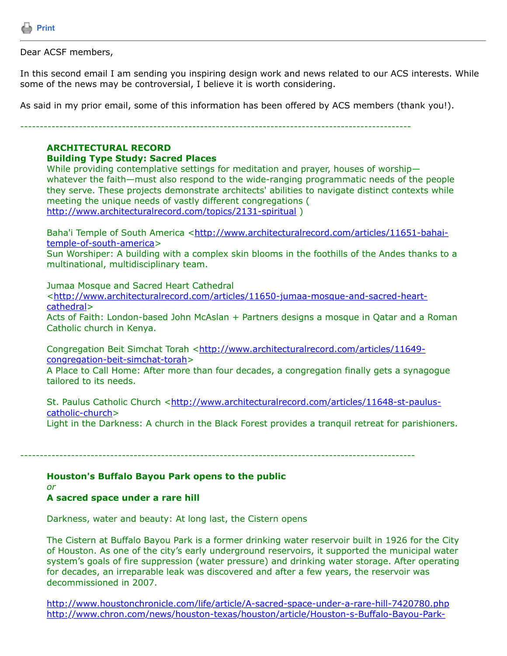

Dear ACSF members,

In this second email I am sending you inspiring design work and news related to our ACS interests. While some of the news may be controversial, I believe it is worth considering.

As said in my prior email, some of this information has been offered by ACS members (thank you!).

----------------------------------------------------------------------------------------------------

# **ARCHITECTURAL RECORD**

#### **Building Type Study: Sacred Places**

While providing contemplative settings for meditation and prayer, houses of worship whatever the faith—must also respond to the wide-ranging programmatic needs of the people they serve. These projects demonstrate architects' abilities to navigate distinct contexts while meeting the unique needs of vastly different congregations ( <http://www.architecturalrecord.com/topics/2131-spiritual> )

[Baha'i Temple of South America <http://www.architecturalrecord.com/articles/11651-bahai](http://www.architecturalrecord.com/articles/11651-bahai-temple-of-south-america)temple-of-south-america>

Sun Worshiper: A building with a complex skin blooms in the foothills of the Andes thanks to a multinational, multidisciplinary team.

Jumaa Mosque and Sacred Heart Cathedral

[<http://www.architecturalrecord.com/articles/11650-jumaa-mosque-and-sacred-heart](http://www.architecturalrecord.com/articles/11650-jumaa-mosque-and-sacred-heart-cathedral)cathedral>

Acts of Faith: London-based John McAslan + Partners designs a mosque in Qatar and a Roman Catholic church in Kenya.

[Congregation Beit Simchat Torah <http://www.architecturalrecord.com/articles/11649](http://www.architecturalrecord.com/articles/11649-congregation-beit-simchat-torah) congregation-beit-simchat-torah>

A Place to Call Home: After more than four decades, a congregation finally gets a synagogue tailored to its needs.

[St. Paulus Catholic Church <http://www.architecturalrecord.com/articles/11648-st-paulus](http://www.architecturalrecord.com/articles/11648-st-paulus-catholic-church)catholic-church> Light in the Darkness: A church in the Black Forest provides a tranquil retreat for parishioners.

-----------------------------------------------------------------------------------------------------

### **Houston's Buffalo Bayou Park opens to the public**

*or*

# **A sacred space under a rare hill**

Darkness, water and beauty: At long last, the Cistern opens

The Cistern at Buffalo Bayou Park is a former drinking water reservoir built in 1926 for the City of Houston. As one of the city's early underground reservoirs, it supported the municipal water system's goals of fire suppression (water pressure) and drinking water storage. After operating for decades, an irreparable leak was discovered and after a few years, the reservoir was decommissioned in 2007.

<http://www.houstonchronicle.com/life/article/A-sacred-space-under-a-rare-hill-7420780.php> [http://www.chron.com/news/houston-texas/houston/article/Houston-s-Buffalo-Bayou-Park-](http://www.chron.com/news/houston-texas/houston/article/Houston-s-Buffalo-Bayou-Park-Cistern-to-open-to-7404503.php)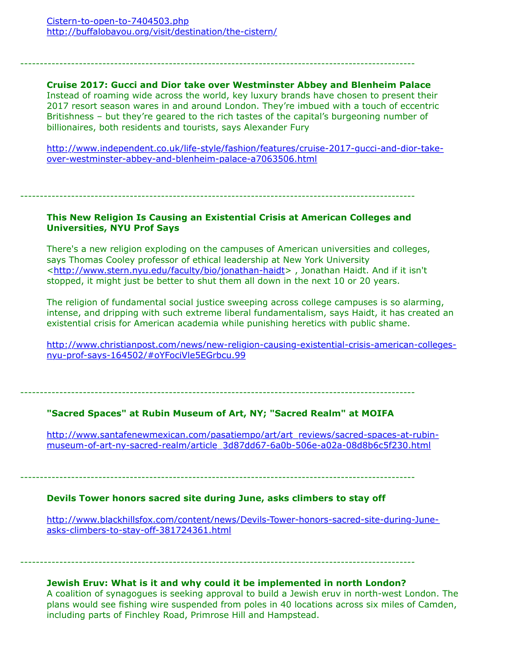# **Cruise 2017: Gucci and Dior take over Westminster Abbey and Blenheim Palace**

-----------------------------------------------------------------------------------------------------

Instead of roaming wide across the world, key luxury brands have chosen to present their 2017 resort season wares in and around London. They're imbued with a touch of eccentric Britishness – but they're geared to the rich tastes of the capital's burgeoning number of billionaires, both residents and tourists, says Alexander Fury

[http://www.independent.co.uk/life-style/fashion/features/cruise-2017-gucci-and-dior-take](http://www.independent.co.uk/life-style/fashion/features/cruise-2017-gucci-and-dior-take-over-westminster-abbey-and-blenheim-palace-a7063506.html)over-westminster-abbey-and-blenheim-palace-a7063506.html

-----------------------------------------------------------------------------------------------------

## **This New Religion Is Causing an Existential Crisis at American Colleges and Universities, NYU Prof Says**

There's a new religion exploding on the campuses of American universities and colleges, says Thomas Cooley professor of ethical leadership at New York University <<http://www.stern.nyu.edu/faculty/bio/jonathan-haidt>> , Jonathan Haidt. And if it isn't stopped, it might just be better to shut them all down in the next 10 or 20 years.

The religion of fundamental social justice sweeping across college campuses is so alarming, intense, and dripping with such extreme liberal fundamentalism, says Haidt, it has created an existential crisis for American academia while punishing heretics with public shame.

[http://www.christianpost.com/news/new-religion-causing-existential-crisis-american-colleges](http://www.christianpost.com/news/new-religion-causing-existential-crisis-american-colleges-nyu-prof-says-164502/%23oYFociVle5EGrbcu.99)nyu-prof-says-164502/#oYFociVle5EGrbcu.99

-----------------------------------------------------------------------------------------------------

## **"Sacred Spaces" at Rubin Museum of Art, NY; "Sacred Realm" at MOIFA**

[http://www.santafenewmexican.com/pasatiempo/art/art\\_reviews/sacred-spaces-at-rubin](http://www.santafenewmexican.com/pasatiempo/art/art_reviews/sacred-spaces-at-rubin-museum-of-art-ny-sacred-realm/article_3d87dd67-6a0b-506e-a02a-08d8b6c5f230.html)museum-of-art-ny-sacred-realm/article\_3d87dd67-6a0b-506e-a02a-08d8b6c5f230.html

-----------------------------------------------------------------------------------------------------

## **Devils Tower honors sacred site during June, asks climbers to stay off**

[http://www.blackhillsfox.com/content/news/Devils-Tower-honors-sacred-site-during-June](http://www.blackhillsfox.com/content/news/Devils-Tower-honors-sacred-site-during-June-asks-climbers-to-stay-off-381724361.html)asks-climbers-to-stay-off-381724361.html

### -----------------------------------------------------------------------------------------------------

## **Jewish Eruv: What is it and why could it be implemented in north London?**

A coalition of synagogues is seeking approval to build a Jewish eruv in north-west London. The plans would see fishing wire suspended from poles in 40 locations across six miles of Camden, including parts of Finchley Road, Primrose Hill and Hampstead.